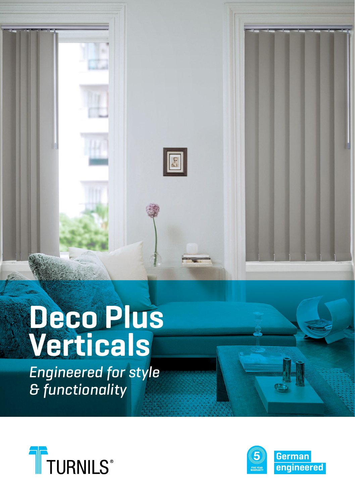

# **Deco Plus Verticals**

Engineered for style & functionality



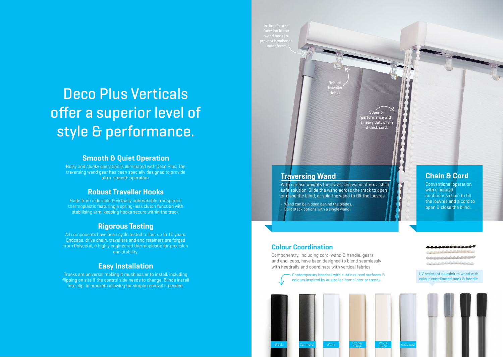# Deco Plus Verticals offer a superior level of style & performance.

# **Smooth & Quiet Operation**

Noisy and clunky operation is eliminated with Deco Plus. The traversing wand gear has been specially designed to provide ultra-smooth operation.

# **Robust Traveller Hooks**

Made from a durable & virtually unbreakable transparent thermoplastic featuring a spring-less clutch function with stabilising arm, keeping hooks secure within the track.

# **Rigorous Testing**

All components have been cycle tested to last up to 10 years. Endcaps, drive chain, travellers and end retainers are forged from Polycetal, a highly engineered thermoplastic for precision and stability.

# **Easy Installation**

Tracks are universal making it much easier to install, including flipping on site if the control side needs to change. Blinds install into clip-in brackets allowing for simple removal if needed.

# **Traversing Wand**

With earless weights the traversing wand offers a child safe solution. Glide the wand across the track to open or close the blind, or spin the wand to tilt the louvres.

Traveller

Superior performance with a heavy duty chain & thick cord.

open a can be hidden behind the blades.<br>
The blades and a current of the blind. Split stack options with a single wand.

#### **Colour Coordination**

Componentry, including cord, wand & handle, gears and end-caps, have been designed to blend seamlessly with headrails and coordinate with vertical fabrics.

Black Gunmetal White Stoney

Contemporary headrail with subtle curved surfaces & colours inspired by Australian home interior trends.

Stoney White<br>Beige Birch

**Birch** Anodised

## **Chain & Cord**

Conventional operation with a beaded continuous chain to tilt the louvres and a cord to

**COLORADO DE** 

10000000000000 0000000000000

UV resistant aluminium wand with colour coordinated hook & handle